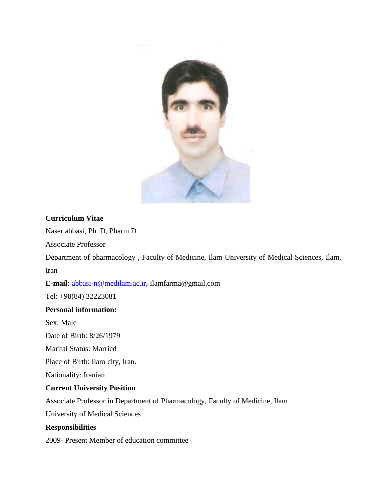

#### **Curriculum Vitae**

Naser abbasi, Ph. D, Pharm D

Associate Professor

Department of pharmacology , Faculty of Medicine, Ilam University of Medical Sciences, Ilam, Iran

**E-mail:** [abbasi-n@medilam.ac.ir,](mailto:abbasi-n@medilam.ac.ir) ilamfarma@gmail.com

Tel: +98(84) 32223081

#### **Personal information:**

Sex: Male

Date of Birth: 8/26/1979

Marital Status: Married

Place of Birth: Ilam city, Iran.

Nationality: Iranian

#### **Current University Position**

Associate Professor in Department of Pharmacology, Faculty of Medicine, Ilam

University of Medical Sciences

#### **Responsibilities**

2009- Present Member of education committee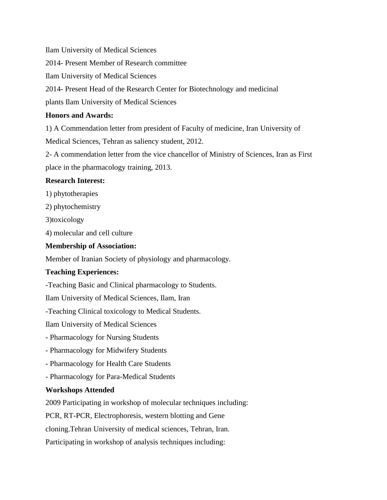Ilam University of Medical Sciences

2014- Present Member of Research committee

Ilam University of Medical Sciences

2014- Present Head of the Research Center for Biotechnology and medicinal

plants Ilam University of Medical Sciences

### **Honors and Awards:**

1) A Commendation letter from president of Faculty of medicine, Iran University of

Medical Sciences, Tehran as saliency student, 2012.

2- A commendation letter from the vice chancellor of Ministry of Sciences, Iran as First

place in the pharmacology training, 2013.

# **Research Interest:**

1) phytotherapies

2) phytochemistry

3)toxicology

4) molecular and cell culture

# **Membership of Association:**

Member of Iranian Society of physiology and pharmacology.

# **Teaching Experiences:**

-Teaching Basic and Clinical pharmacology to Students.

Ilam University of Medical Sciences, Ilam, Iran

-Teaching Clinical toxicology to Medical Students.

Ilam University of Medical Sciences

- Pharmacology for Nursing Students

- Pharmacology for Midwifery Students
- Pharmacology for Health Care Students
- Pharmacology for Para-Medical Students

# **Workshops Attended**

2009 Participating in workshop of molecular techniques including:

PCR, RT-PCR, Electrophoresis, western blotting and Gene

cloning.Tehran University of medical sciences, Tehran, Iran.

Participating in workshop of analysis techniques including: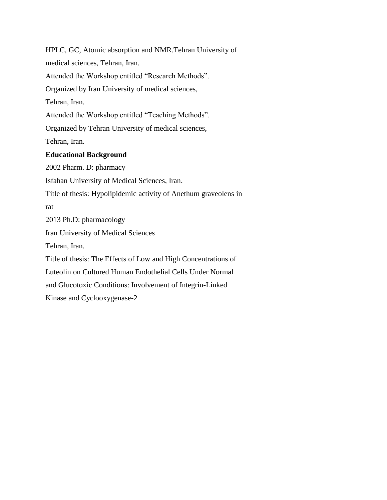HPLC, GC, Atomic absorption and NMR.Tehran University of medical sciences, Tehran, Iran. Attended the Workshop entitled "Research Methods". Organized by Iran University of medical sciences, Tehran, Iran. Attended the Workshop entitled "Teaching Methods". Organized by Tehran University of medical sciences, Tehran, Iran. **Educational Background** 2002 Pharm. D: pharmacy Isfahan University of Medical Sciences, Iran. Title of thesis: Hypolipidemic activity of Anethum graveolens in rat 2013 Ph.D: pharmacology Iran University of Medical Sciences Tehran, Iran. Title of thesis: The Effects of Low and High Concentrations of Luteolin on Cultured Human Endothelial Cells Under Normal and Glucotoxic Conditions: Involvement of Integrin-Linked Kinase and Cyclooxygenase-2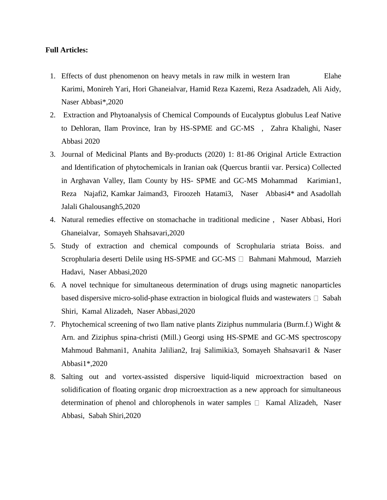#### **Full Articles:**

- 1. [Effects of dust phenomenon on heavy metals in raw milk in western Iran](https://www.researchgate.net/publication/342068020_Effects_of_dust_phenomenon_on_heavy_metals_in_raw_milk_in_western_Iran?_sg=MH7LAbRkGcfxoDemp2n7Cv4LNBg6Kl7QTssksOJYK6doQN4LzJIjB6XIJfdpSJvB8r-nbfHhfYaNEMGkjFRYbXwaDrUjAREk-WOn6laE.zGcK0Zlf2zrKd3iWmDsA7MYfGXfGKsUMVLuR3Qru4vFGhG5TO0qOl_0SfDWJOtEMsbsLBlXu96qDssTMANJSpA) Elahe Karimi, Monireh Yari, Hori Ghaneialvar, Hamid Reza Kazemi, Reza Asadzadeh, Ali Aidy, Naser Abbasi\*,2020
- 2. [Extraction and Phytoanalysis of Chemical Compounds of Eucalyptus globulus Leaf Native](https://www.researchgate.net/publication/342009216_Extraction_and_Phytoanalysis_of_Chemical_Compounds_of_Eucalyptus_globulus_Leaf_Native_to_Dehloran_Ilam_Province_Iran_by_HS-SPME_and_GC-MS?_sg=giIDVkOCC1mscnEO56h2U3sdfXnqDKnYY7fxuWL0xb7Vo5vjz0IjEMpW99tAR_WO4OWJNNL8i8cdtBAwlUztL9fzeUgq7NcLK-niO7-4.jyUCfOn_aGTqBBJCsp3pmV-HLWM0OTohX2HLSLIHLteE3Lr5fvsu2IlreMtHcFO0RCcuj4zRiU7lH3jkKVasvw)  [to Dehloran, Ilam Province, Iran by HS-SPME and GC-MS](https://www.researchgate.net/publication/342009216_Extraction_and_Phytoanalysis_of_Chemical_Compounds_of_Eucalyptus_globulus_Leaf_Native_to_Dehloran_Ilam_Province_Iran_by_HS-SPME_and_GC-MS?_sg=giIDVkOCC1mscnEO56h2U3sdfXnqDKnYY7fxuWL0xb7Vo5vjz0IjEMpW99tAR_WO4OWJNNL8i8cdtBAwlUztL9fzeUgq7NcLK-niO7-4.jyUCfOn_aGTqBBJCsp3pmV-HLWM0OTohX2HLSLIHLteE3Lr5fvsu2IlreMtHcFO0RCcuj4zRiU7lH3jkKVasvw) , [Zahra Khalighi,](https://www.researchgate.net/profile/Zahra_Khalighi) [Naser](https://www.researchgate.net/profile/Naser_Abbasi)  [Abbasi](https://www.researchgate.net/profile/Naser_Abbasi) 2020
- 3. [Journal of Medicinal Plants and By-products \(2020\) 1: 81-86 Original Article Extraction](https://www.researchgate.net/publication/341991266_Journal_of_Medicinal_Plants_and_By-products_2020_1_81-86_Original_Article_Extraction_and_Identification_of_phytochemicals_in_Iranian_oak_Quercus_brantii_var_Persica_Collected_in_Arghavan_Valley_Ilam_C?_sg=giIDVkOCC1mscnEO56h2U3sdfXnqDKnYY7fxuWL0xb7Vo5vjz0IjEMpW99tAR_WO4OWJNNL8i8cdtBAwlUztL9fzeUgq7NcLK-niO7-4.jyUCfOn_aGTqBBJCsp3pmV-HLWM0OTohX2HLSLIHLteE3Lr5fvsu2IlreMtHcFO0RCcuj4zRiU7lH3jkKVasvw)  [and Identification of phytochemicals in Iranian oak \(Quercus brantii var. Persica\) Collected](https://www.researchgate.net/publication/341991266_Journal_of_Medicinal_Plants_and_By-products_2020_1_81-86_Original_Article_Extraction_and_Identification_of_phytochemicals_in_Iranian_oak_Quercus_brantii_var_Persica_Collected_in_Arghavan_Valley_Ilam_C?_sg=giIDVkOCC1mscnEO56h2U3sdfXnqDKnYY7fxuWL0xb7Vo5vjz0IjEMpW99tAR_WO4OWJNNL8i8cdtBAwlUztL9fzeUgq7NcLK-niO7-4.jyUCfOn_aGTqBBJCsp3pmV-HLWM0OTohX2HLSLIHLteE3Lr5fvsu2IlreMtHcFO0RCcuj4zRiU7lH3jkKVasvw)  [in Arghavan Valley, Ilam County by HS-](https://www.researchgate.net/publication/341991266_Journal_of_Medicinal_Plants_and_By-products_2020_1_81-86_Original_Article_Extraction_and_Identification_of_phytochemicals_in_Iranian_oak_Quercus_brantii_var_Persica_Collected_in_Arghavan_Valley_Ilam_C?_sg=giIDVkOCC1mscnEO56h2U3sdfXnqDKnYY7fxuWL0xb7Vo5vjz0IjEMpW99tAR_WO4OWJNNL8i8cdtBAwlUztL9fzeUgq7NcLK-niO7-4.jyUCfOn_aGTqBBJCsp3pmV-HLWM0OTohX2HLSLIHLteE3Lr5fvsu2IlreMtHcFO0RCcuj4zRiU7lH3jkKVasvw) SPME and GC-MS Mohammad Karimian1, Reza Najafi2, Kamkar Jaimand3, Firoozeh Hatami3, Naser Abbasi4\* and Asadollah Jalali Ghalousangh5,2020
- 4. [Natural remedies effective on stomachache in traditional medicine](https://www.researchgate.net/publication/342732791_Natural_remedies_effective_on_stomachache_in_traditional_medicine?_sg=XV9qN8qSVGLnj_Aloqml1iYWgRvHLDsSl4YiUQBXgt3KOZ8yPLsTQXWlICoadE84p9XFyVoOvU-8iUnvunhPOMu2we3OYp81b6u4d0qk.p80__zn4q4yE-5lw_nZYeXnS7XZbvJWTJ9Szu1ERCkZ9yBVh1tTKnQnOw829hAgmb_0oLuHcQtHcJyLAIXxh0w) , [Naser Abbasi,](https://www.researchgate.net/profile/Naser_Abbasi) [Hori](https://www.researchgate.net/profile/Hori_Ghaneialvar)  [Ghaneialvar,](https://www.researchgate.net/profile/Hori_Ghaneialvar) [Somayeh Shahsavari,](https://www.researchgate.net/scientific-contributions/2129355210_Somayeh_Shahsavari)2020
- 5. [Study of extraction and chemical compounds of Scrophularia striata Boiss. and](https://www.researchgate.net/publication/342722570_Study_of_extraction_and_chemical_compounds_of_Scrophularia_striata_Boiss_and_Scrophularia_deserti_Delile_using_HS-SPME_and_GC-MS?_sg=XV9qN8qSVGLnj_Aloqml1iYWgRvHLDsSl4YiUQBXgt3KOZ8yPLsTQXWlICoadE84p9XFyVoOvU-8iUnvunhPOMu2we3OYp81b6u4d0qk.p80__zn4q4yE-5lw_nZYeXnS7XZbvJWTJ9Szu1ERCkZ9yBVh1tTKnQnOw829hAgmb_0oLuHcQtHcJyLAIXxh0w)  [Scrophularia deserti Delile using HS-SPME and GC-MS](https://www.researchgate.net/publication/342722570_Study_of_extraction_and_chemical_compounds_of_Scrophularia_striata_Boiss_and_Scrophularia_deserti_Delile_using_HS-SPME_and_GC-MS?_sg=XV9qN8qSVGLnj_Aloqml1iYWgRvHLDsSl4YiUQBXgt3KOZ8yPLsTQXWlICoadE84p9XFyVoOvU-8iUnvunhPOMu2we3OYp81b6u4d0qk.p80__zn4q4yE-5lw_nZYeXnS7XZbvJWTJ9Szu1ERCkZ9yBVh1tTKnQnOw829hAgmb_0oLuHcQtHcJyLAIXxh0w)  $\Box$  [Bahmani Mahmoud,](https://www.researchgate.net/scientific-contributions/2177401827_Bahmani_Mahmoud) Marzieh [Hadavi,](https://www.researchgate.net/scientific-contributions/2177453513_Marzieh_Hadavi) [Naser Abbasi,](https://www.researchgate.net/profile/Naser_Abbasi)2020
- 6. [A novel technique for simultaneous determination of drugs using magnetic nanoparticles](https://www.researchgate.net/publication/342040899_A_novel_technique_for_simultaneous_determination_of_drugs_using_magnetic_nanoparticles_based_dispersive_micro-solid-phase_extraction_in_biological_fluids_and_wastewaters?_sg=dZnHahGDinBSwvnvNIma_1ae1XFP5VBXaYDrs-ML46h4WRq8pFELh4RmnovrAFNr-RVBuZAN9NuaIHJ9Eo8KpTCN98U2EScuwkVJ6Jxj.lquq7XQB-e8kCipiEOSn01mUIeByPbTmZ0b5Ahe34Xc6GmTb9GYqlqIN-WJlkcDWpREOFJCc1uWFj-EdFr55nA)  [based dispersive micro-solid-phase extraction in biological fluids and wastewaters](https://www.researchgate.net/publication/342040899_A_novel_technique_for_simultaneous_determination_of_drugs_using_magnetic_nanoparticles_based_dispersive_micro-solid-phase_extraction_in_biological_fluids_and_wastewaters?_sg=dZnHahGDinBSwvnvNIma_1ae1XFP5VBXaYDrs-ML46h4WRq8pFELh4RmnovrAFNr-RVBuZAN9NuaIHJ9Eo8KpTCN98U2EScuwkVJ6Jxj.lquq7XQB-e8kCipiEOSn01mUIeByPbTmZ0b5Ahe34Xc6GmTb9GYqlqIN-WJlkcDWpREOFJCc1uWFj-EdFr55nA)  $\Box$  Sabah [Shiri,](https://www.researchgate.net/profile/Sabah_Shiri) [Kamal Alizadeh,](https://www.researchgate.net/profile/Kamal_Alizadeh) [Naser Abbasi,](https://www.researchgate.net/profile/Naser_Abbasi)2020
- 7. Phytochemical screening of two Ilam native plants Ziziphus nummularia (Burm.f.) Wight  $\&$ [Arn. and Ziziphus spina-christi \(Mill.\) Georgi using HS-SPME and GC-MS spectroscopy](https://www.researchgate.net/publication/341208811_Phytochemical_screening_of_two_Ilam_native_plants_Ziziphus_nummularia_Burmf_Wight_Arn_and_Ziziphus_spina-christi_Mill_Georgi_using_HS-SPME_and_GC-MS_spectroscopy?_sg=dZnHahGDinBSwvnvNIma_1ae1XFP5VBXaYDrs-ML46h4WRq8pFELh4RmnovrAFNr-RVBuZAN9NuaIHJ9Eo8KpTCN98U2EScuwkVJ6Jxj.lquq7XQB-e8kCipiEOSn01mUIeByPbTmZ0b5Ahe34Xc6GmTb9GYqlqIN-WJlkcDWpREOFJCc1uWFj-EdFr55nA) Mahmoud Bahmani1, Anahita Jalilian2, Iraj Salimikia3, Somayeh Shahsavari1 & Naser Abbasi1\*,2020
- 8. [Salting out and vortex-assisted dispersive liquid-liquid microextraction based on](https://www.researchgate.net/publication/340455684_Salting_out_and_vortex-assisted_dispersive_liquid-liquid_microextraction_based_on_solidification_of_floating_organic_drop_microextraction_as_a_new_approach_for_simultaneous_determination_of_phenol_and?_sg=nEBapRfGkeetnk6R1e7xDxRDz_CBHePcluLPGSJiOUJiEvufQt4LWVXFg_vSm6JhilBNdSBN5Ls9VrdFr-0lKY2RnWBoXgHeJu6DQiOU.AyzhjLpeKdW1BltvVT0ySGjwluhlAujE0cnJd2MFwjt0DwGj3CwnjX8bdonncKKzHitHHOcA7VC9hasHjBAfDA)  [solidification of floating organic drop microextraction as a new approach for simultaneous](https://www.researchgate.net/publication/340455684_Salting_out_and_vortex-assisted_dispersive_liquid-liquid_microextraction_based_on_solidification_of_floating_organic_drop_microextraction_as_a_new_approach_for_simultaneous_determination_of_phenol_and?_sg=nEBapRfGkeetnk6R1e7xDxRDz_CBHePcluLPGSJiOUJiEvufQt4LWVXFg_vSm6JhilBNdSBN5Ls9VrdFr-0lKY2RnWBoXgHeJu6DQiOU.AyzhjLpeKdW1BltvVT0ySGjwluhlAujE0cnJd2MFwjt0DwGj3CwnjX8bdonncKKzHitHHOcA7VC9hasHjBAfDA)  [determination of phenol and chlorophenols in water samples](https://www.researchgate.net/publication/340455684_Salting_out_and_vortex-assisted_dispersive_liquid-liquid_microextraction_based_on_solidification_of_floating_organic_drop_microextraction_as_a_new_approach_for_simultaneous_determination_of_phenol_and?_sg=nEBapRfGkeetnk6R1e7xDxRDz_CBHePcluLPGSJiOUJiEvufQt4LWVXFg_vSm6JhilBNdSBN5Ls9VrdFr-0lKY2RnWBoXgHeJu6DQiOU.AyzhjLpeKdW1BltvVT0ySGjwluhlAujE0cnJd2MFwjt0DwGj3CwnjX8bdonncKKzHitHHOcA7VC9hasHjBAfDA)  $\Box$  [Kamal Alizadeh,](https://www.researchgate.net/profile/Kamal_Alizadeh) Naser [Abbasi,](https://www.researchgate.net/profile/Naser_Abbasi) [Sabah Shiri,](https://www.researchgate.net/profile/Sabah_Shiri)2020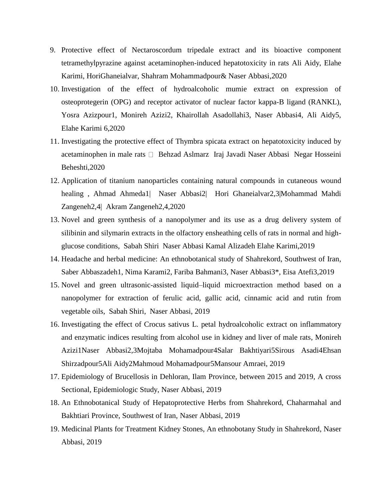- 9. [Protective effect of Nectaroscordum tripedale extract and its bioactive component](https://www.researchgate.net/publication/340036763_Protective_effect_of_Nectaroscordum_tripedale_extract_and_its_bioactive_component_tetramethylpyrazine_against_acetaminophen-induced_hepatotoxicity_in_rats?_sg=nEBapRfGkeetnk6R1e7xDxRDz_CBHePcluLPGSJiOUJiEvufQt4LWVXFg_vSm6JhilBNdSBN5Ls9VrdFr-0lKY2RnWBoXgHeJu6DQiOU.AyzhjLpeKdW1BltvVT0ySGjwluhlAujE0cnJd2MFwjt0DwGj3CwnjX8bdonncKKzHitHHOcA7VC9hasHjBAfDA)  [tetramethylpyrazine against acetaminophen-induced hepatotoxicity in rats](https://www.researchgate.net/publication/340036763_Protective_effect_of_Nectaroscordum_tripedale_extract_and_its_bioactive_component_tetramethylpyrazine_against_acetaminophen-induced_hepatotoxicity_in_rats?_sg=nEBapRfGkeetnk6R1e7xDxRDz_CBHePcluLPGSJiOUJiEvufQt4LWVXFg_vSm6JhilBNdSBN5Ls9VrdFr-0lKY2RnWBoXgHeJu6DQiOU.AyzhjLpeKdW1BltvVT0ySGjwluhlAujE0cnJd2MFwjt0DwGj3CwnjX8bdonncKKzHitHHOcA7VC9hasHjBAfDA) Ali Aidy, Elahe Karimi, HoriGhaneialvar, Shahram Mohammadpour& Naser Abbasi,2020
- 10. [Investigation of the effect of hydroalcoholic mumie extract on expression of](https://www.researchgate.net/publication/339826540_Investigation_of_the_effect_of_hydroalcoholic_mumie_extract_on_expression_of_osteoprotegerin_OPG_and_receptor_activator_of_nuclear_factor_kappa-B_ligand_RANKL?_sg=5nFSwt5Lue-_b-gZmmMx-jGIn7jIWAwr6j_9hpGJr9QsKzQsaFLaUBfMHC1Ud5dcjAIzlPUpZapGkLt-MY2Q3ZtcpY0KOeCIq75OnTVQ.0qmw3LenMoNl2ghuNSCilNY0ZbtGDUeWX2XEZFOhbpoECxv13JgvMOq-YhHHdRe5anHzinW6Md-WnjibVEV-Zw)  [osteoprotegerin \(OPG\) and receptor activator of nuclear factor kappa-B ligand \(RANKL\),](https://www.researchgate.net/publication/339826540_Investigation_of_the_effect_of_hydroalcoholic_mumie_extract_on_expression_of_osteoprotegerin_OPG_and_receptor_activator_of_nuclear_factor_kappa-B_ligand_RANKL?_sg=5nFSwt5Lue-_b-gZmmMx-jGIn7jIWAwr6j_9hpGJr9QsKzQsaFLaUBfMHC1Ud5dcjAIzlPUpZapGkLt-MY2Q3ZtcpY0KOeCIq75OnTVQ.0qmw3LenMoNl2ghuNSCilNY0ZbtGDUeWX2XEZFOhbpoECxv13JgvMOq-YhHHdRe5anHzinW6Md-WnjibVEV-Zw) Yosra Azizpour1, Monireh Azizi2, Khairollah Asadollahi3, Naser Abbasi4, Ali Aidy5, Elahe Karimi 6,2020
- 11. [Investigating the protective effect of Thymbra spicata extract on hepatotoxicity induced by](https://www.researchgate.net/publication/339126339_Investigating_the_protective_effect_of_Thymbra_spicata_extract_on_hepatotoxicity_induced_by_acetaminophen_in_male_rats?_sg=CIgzvXB-Hx1JWsbkDzDIPM5IEbor4oYjceZvvaMMMbJ5xCmda5OFl-BEGaeQMLZKy0wZOH2Oey6JmUfzSyx9SQzrZwcm99Fr4rt_pZUS.IrGEQwwVi3D6HSzrndQc4RSK8wEsb5-wLqiwb5E-ncFDnnSTO2B6xQ0R7SFhmHfRAn23md_gUmMuDRPDIZCVnA)  [acetaminophen in male rats](https://www.researchgate.net/publication/339126339_Investigating_the_protective_effect_of_Thymbra_spicata_extract_on_hepatotoxicity_induced_by_acetaminophen_in_male_rats?_sg=CIgzvXB-Hx1JWsbkDzDIPM5IEbor4oYjceZvvaMMMbJ5xCmda5OFl-BEGaeQMLZKy0wZOH2Oey6JmUfzSyx9SQzrZwcm99Fr4rt_pZUS.IrGEQwwVi3D6HSzrndQc4RSK8wEsb5-wLqiwb5E-ncFDnnSTO2B6xQ0R7SFhmHfRAn23md_gUmMuDRPDIZCVnA)  $\Box$  [Behzad Aslmarz](https://www.researchgate.net/scientific-contributions/2170316144_Behzad_Aslmarz) [Iraj Javadi](https://www.researchgate.net/scientific-contributions/2170304463_Iraj_Javadi) [Naser Abbasi](https://www.researchgate.net/profile/Naser_Abbasi) Negar Hosseini [Beheshti,](https://www.researchgate.net/scientific-contributions/2170305748_Negar_Hosseini_Beheshti)2020
- 12. [Application of titanium nanoparticles containing natural compounds in cutaneous wound](https://www.researchgate.net/publication/338901454_Application_of_titanium_nanoparticles_containing_natural_compounds_in_cutaneous_wound_healing?_sg=VtwVrx8cnWThfDKUowLQZ37gfiZFb_TsTa5Xhb7aP5-72lK8-Gcf8XCqb0wSwERbVuhBK5RCufupBfVqfwjsoA5EBdpClJ9jGVEbpHXn.O0AfSEaBdXN5NI7pU-tmTpnrgcNI6EOSuWOJe9yLvRUvd4_o_FkNJpgaKyBixUX0G8dDPMdR2TndOTjJ1YRbmg)  [healing](https://www.researchgate.net/publication/338901454_Application_of_titanium_nanoparticles_containing_natural_compounds_in_cutaneous_wound_healing?_sg=VtwVrx8cnWThfDKUowLQZ37gfiZFb_TsTa5Xhb7aP5-72lK8-Gcf8XCqb0wSwERbVuhBK5RCufupBfVqfwjsoA5EBdpClJ9jGVEbpHXn.O0AfSEaBdXN5NI7pU-tmTpnrgcNI6EOSuWOJe9yLvRUvd4_o_FkNJpgaKyBixUX0G8dDPMdR2TndOTjJ1YRbmg) , Ahmad Ahmeda1| Naser Abbasi2| Hori Ghaneialvar2,3|Mohammad Mahdi Zangeneh2,4| Akram Zangeneh2,4,2020
- 13. [Novel and green synthesis of a nanopolymer and its use as a drug delivery system of](https://www.researchgate.net/publication/337587978_Novel_and_green_synthesis_of_a_nanopolymer_and_its_use_as_a_drug_delivery_system_of_silibinin_and_silymarin_extracts_in_the_olfactory_ensheathing_cells_of_rats_in_normal_and_high-glucose_conditions?_sg=ET665diW15xLDZitJ0KJmYLyZIbPbUCkr2KBwgE0lGKu4xceU618rZUspq3e15RMWzm-LcsTXIwIKE9lxTaSF3PoSbRi0lYHCfj12eUS.8fIcLGxg-nfzzvHeQ2AZm9B9cftHwSwUkZK7eoplCA0KJjrZnnyYoJonpFYx03fSQ39YJh8MK_w4ql_7XwKAlQ)  [silibinin and silymarin extracts in the olfactory ensheathing cells of rats in normal and high](https://www.researchgate.net/publication/337587978_Novel_and_green_synthesis_of_a_nanopolymer_and_its_use_as_a_drug_delivery_system_of_silibinin_and_silymarin_extracts_in_the_olfactory_ensheathing_cells_of_rats_in_normal_and_high-glucose_conditions?_sg=ET665diW15xLDZitJ0KJmYLyZIbPbUCkr2KBwgE0lGKu4xceU618rZUspq3e15RMWzm-LcsTXIwIKE9lxTaSF3PoSbRi0lYHCfj12eUS.8fIcLGxg-nfzzvHeQ2AZm9B9cftHwSwUkZK7eoplCA0KJjrZnnyYoJonpFYx03fSQ39YJh8MK_w4ql_7XwKAlQ)[glucose conditions,](https://www.researchgate.net/publication/337587978_Novel_and_green_synthesis_of_a_nanopolymer_and_its_use_as_a_drug_delivery_system_of_silibinin_and_silymarin_extracts_in_the_olfactory_ensheathing_cells_of_rats_in_normal_and_high-glucose_conditions?_sg=ET665diW15xLDZitJ0KJmYLyZIbPbUCkr2KBwgE0lGKu4xceU618rZUspq3e15RMWzm-LcsTXIwIKE9lxTaSF3PoSbRi0lYHCfj12eUS.8fIcLGxg-nfzzvHeQ2AZm9B9cftHwSwUkZK7eoplCA0KJjrZnnyYoJonpFYx03fSQ39YJh8MK_w4ql_7XwKAlQ) [Sabah Shiri](https://www.researchgate.net/profile/Sabah_Shiri) [Naser Abbasi](https://www.researchgate.net/profile/Naser_Abbasi) [Kamal Alizadeh](https://www.researchgate.net/profile/Kamal_Alizadeh) [Elahe Karimi,](https://www.researchgate.net/profile/Elahe_Karimi2)2019
- 14. [Headache and herbal medicine: An ethnobotanical study of Shahrekord, Southwest of Iran,](https://www.researchgate.net/publication/342111538_Headache_and_herbal_medicine_An_ethnobotanical_study_of_Shahrekord_Southwest_of_Iran?_sg=ET665diW15xLDZitJ0KJmYLyZIbPbUCkr2KBwgE0lGKu4xceU618rZUspq3e15RMWzm-LcsTXIwIKE9lxTaSF3PoSbRi0lYHCfj12eUS.8fIcLGxg-nfzzvHeQ2AZm9B9cftHwSwUkZK7eoplCA0KJjrZnnyYoJonpFYx03fSQ39YJh8MK_w4ql_7XwKAlQ) Saber Abbaszadeh1, Nima Karami2, Fariba Bahmani3, Naser Abbasi3\*, Eisa Atefi3,2019
- 15. [Novel and green ultrasonic-assisted liquid–liquid microextraction method based on a](https://www.researchgate.net/publication/336698282_Novel_and_green_ultrasonic-assisted_liquid-liquid_microextraction_method_based_on_a_nanopolymer_for_extraction_of_ferulic_acid_gallic_acid_cinnamic_acid_and_rutin_from_vegetable_oils?_sg=WjhSgCXne43y208_iP1IoArKGp9eYg69vHQRHK4n9nWUsST63UTMaaTbcTEHyknq_uGLF2orZiFh99hXqBEfkhwuFm6mu3hmR9EHc6EJ.0bm7wQoaWIp5_UUYpuHXvYH6J2tg0ZaoZaTur7-ln-vYPPtww1gK5XDLplP2oD_eNPp6n5YBwIpKUUUU2Ef4xA)  [nanopolymer for extraction of ferulic acid, gallic acid, cinnamic acid and rutin from](https://www.researchgate.net/publication/336698282_Novel_and_green_ultrasonic-assisted_liquid-liquid_microextraction_method_based_on_a_nanopolymer_for_extraction_of_ferulic_acid_gallic_acid_cinnamic_acid_and_rutin_from_vegetable_oils?_sg=WjhSgCXne43y208_iP1IoArKGp9eYg69vHQRHK4n9nWUsST63UTMaaTbcTEHyknq_uGLF2orZiFh99hXqBEfkhwuFm6mu3hmR9EHc6EJ.0bm7wQoaWIp5_UUYpuHXvYH6J2tg0ZaoZaTur7-ln-vYPPtww1gK5XDLplP2oD_eNPp6n5YBwIpKUUUU2Ef4xA)  [vegetable oils,](https://www.researchgate.net/publication/336698282_Novel_and_green_ultrasonic-assisted_liquid-liquid_microextraction_method_based_on_a_nanopolymer_for_extraction_of_ferulic_acid_gallic_acid_cinnamic_acid_and_rutin_from_vegetable_oils?_sg=WjhSgCXne43y208_iP1IoArKGp9eYg69vHQRHK4n9nWUsST63UTMaaTbcTEHyknq_uGLF2orZiFh99hXqBEfkhwuFm6mu3hmR9EHc6EJ.0bm7wQoaWIp5_UUYpuHXvYH6J2tg0ZaoZaTur7-ln-vYPPtww1gK5XDLplP2oD_eNPp6n5YBwIpKUUUU2Ef4xA) [Sabah Shiri,](https://www.researchgate.net/profile/Sabah_Shiri) [Naser Abbasi,](https://www.researchgate.net/profile/Naser_Abbasi) 2019
- 16. [Investigating the effect of Crocus sativus L. petal hydroalcoholic extract on inflammatory](https://www.researchgate.net/publication/336319177_Investigating_the_effect_of_Crocus_sativus_L_petal_hydroalcoholic_extract_on_inflammatory_and_enzymatic_indices_resulting_from_alcohol_use_in_kidney_and_liver_of_male_rats?_sg=WjhSgCXne43y208_iP1IoArKGp9eYg69vHQRHK4n9nWUsST63UTMaaTbcTEHyknq_uGLF2orZiFh99hXqBEfkhwuFm6mu3hmR9EHc6EJ.0bm7wQoaWIp5_UUYpuHXvYH6J2tg0ZaoZaTur7-ln-vYPPtww1gK5XDLplP2oD_eNPp6n5YBwIpKUUUU2Ef4xA)  [and enzymatic indices resulting from alcohol use in kidney and liver of male rats,](https://www.researchgate.net/publication/336319177_Investigating_the_effect_of_Crocus_sativus_L_petal_hydroalcoholic_extract_on_inflammatory_and_enzymatic_indices_resulting_from_alcohol_use_in_kidney_and_liver_of_male_rats?_sg=WjhSgCXne43y208_iP1IoArKGp9eYg69vHQRHK4n9nWUsST63UTMaaTbcTEHyknq_uGLF2orZiFh99hXqBEfkhwuFm6mu3hmR9EHc6EJ.0bm7wQoaWIp5_UUYpuHXvYH6J2tg0ZaoZaTur7-ln-vYPPtww1gK5XDLplP2oD_eNPp6n5YBwIpKUUUU2Ef4xA) Monireh Azizi1Naser Abbasi2,3Mojtaba Mohamadpour4Salar Bakhtiyari5Sirous Asadi4Ehsan Shirzadpour5Ali Aidy2Mahmoud Mohamadpour5Mansour Amraei, 2019
- 17. [Epidemiology of Brucellosis in Dehloran, Ilam Province, between 2015 and 2019, A cross](https://www.researchgate.net/publication/336278884_Epidemiology_of_Brucellosis_in_Dehloran_Ilam_Province_between_2015_and_2019_A_cross_Sectional_Epidemiologic_Study?_sg=bTJUcoFvT0XCtIutNelrsVFlHkEJejEjnDFRoITq6hQZtROZjak9IzHGPOVFZUcrwW0zyEnK39fgJ43Daez58Vum63tewjEC23XaEPHo.gv2diKTafPNXhVo1me74oiOFutupe7D_6Zmqe2dSBD5T5PuZhWpa9OrDPjxiOtGQjzoPXj57D16A69-8FSrwqQ)  [Sectional, Epidemiologic Study,](https://www.researchgate.net/publication/336278884_Epidemiology_of_Brucellosis_in_Dehloran_Ilam_Province_between_2015_and_2019_A_cross_Sectional_Epidemiologic_Study?_sg=bTJUcoFvT0XCtIutNelrsVFlHkEJejEjnDFRoITq6hQZtROZjak9IzHGPOVFZUcrwW0zyEnK39fgJ43Daez58Vum63tewjEC23XaEPHo.gv2diKTafPNXhVo1me74oiOFutupe7D_6Zmqe2dSBD5T5PuZhWpa9OrDPjxiOtGQjzoPXj57D16A69-8FSrwqQ) [Naser Abbasi,](https://www.researchgate.net/profile/Naser_Abbasi) 2019
- 18. [An Ethnobotanical Study of Hepatoprotective Herbs from Shahrekord, Chaharmahal and](https://www.researchgate.net/publication/336278807_An_Ethnobotanical_Study_of_Hepatoprotective_Herbs_from_Shahrekord_Chaharmahal_and_Bakhtiari_Province_Southwest_of_Iran?_sg=bTJUcoFvT0XCtIutNelrsVFlHkEJejEjnDFRoITq6hQZtROZjak9IzHGPOVFZUcrwW0zyEnK39fgJ43Daez58Vum63tewjEC23XaEPHo.gv2diKTafPNXhVo1me74oiOFutupe7D_6Zmqe2dSBD5T5PuZhWpa9OrDPjxiOtGQjzoPXj57D16A69-8FSrwqQ)  [Bakhtiari Province, Southwest of Iran,](https://www.researchgate.net/publication/336278807_An_Ethnobotanical_Study_of_Hepatoprotective_Herbs_from_Shahrekord_Chaharmahal_and_Bakhtiari_Province_Southwest_of_Iran?_sg=bTJUcoFvT0XCtIutNelrsVFlHkEJejEjnDFRoITq6hQZtROZjak9IzHGPOVFZUcrwW0zyEnK39fgJ43Daez58Vum63tewjEC23XaEPHo.gv2diKTafPNXhVo1me74oiOFutupe7D_6Zmqe2dSBD5T5PuZhWpa9OrDPjxiOtGQjzoPXj57D16A69-8FSrwqQ) [Naser Abbasi,](https://www.researchgate.net/profile/Naser_Abbasi) 2019
- 19. [Medicinal Plants for Treatment Kidney Stones, An ethnobotany Study in Shahrekord,](https://www.researchgate.net/publication/336278639_Medicinal_Plants_for_Treatment_Kidney_Stones_An_ethnobotany_Study_in_Shahrekord?_sg=bTJUcoFvT0XCtIutNelrsVFlHkEJejEjnDFRoITq6hQZtROZjak9IzHGPOVFZUcrwW0zyEnK39fgJ43Daez58Vum63tewjEC23XaEPHo.gv2diKTafPNXhVo1me74oiOFutupe7D_6Zmqe2dSBD5T5PuZhWpa9OrDPjxiOtGQjzoPXj57D16A69-8FSrwqQ) [Naser](https://www.researchgate.net/profile/Naser_Abbasi)  [Abbasi,](https://www.researchgate.net/profile/Naser_Abbasi) 2019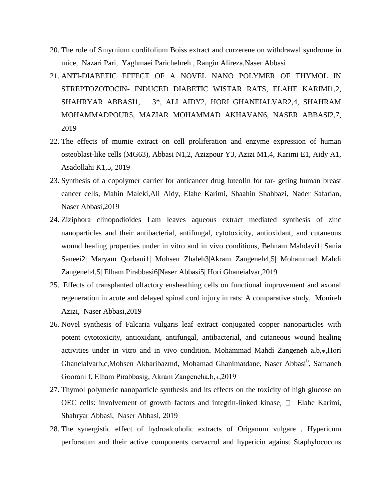- 20. [The role of Smyrnium cordifolium Boiss extract and curzerene on withdrawal syndrome in](https://www.researchgate.net/publication/336558626_The_role_of_Smyrnium_cordifolium_Boiss_extract_and_curzerene_on_withdrawal_syndrome_in_mice?_sg=bTJUcoFvT0XCtIutNelrsVFlHkEJejEjnDFRoITq6hQZtROZjak9IzHGPOVFZUcrwW0zyEnK39fgJ43Daez58Vum63tewjEC23XaEPHo.gv2diKTafPNXhVo1me74oiOFutupe7D_6Zmqe2dSBD5T5PuZhWpa9OrDPjxiOtGQjzoPXj57D16A69-8FSrwqQ)  [mice,](https://www.researchgate.net/publication/336558626_The_role_of_Smyrnium_cordifolium_Boiss_extract_and_curzerene_on_withdrawal_syndrome_in_mice?_sg=bTJUcoFvT0XCtIutNelrsVFlHkEJejEjnDFRoITq6hQZtROZjak9IzHGPOVFZUcrwW0zyEnK39fgJ43Daez58Vum63tewjEC23XaEPHo.gv2diKTafPNXhVo1me74oiOFutupe7D_6Zmqe2dSBD5T5PuZhWpa9OrDPjxiOtGQjzoPXj57D16A69-8FSrwqQ) [Nazari Pari,](https://www.researchgate.net/scientific-contributions/2165170791_Nazari_Pari) [Yaghmaei Parichehreh](https://www.researchgate.net/scientific-contributions/2165161346_Yaghmaei_Parichehreh) , [Rangin Alireza,](https://www.researchgate.net/scientific-contributions/2165146181_Rangin_Alireza)[Naser Abbasi](https://www.researchgate.net/profile/Naser_Abbasi)
- 21. [ANTI-DIABETIC EFFECT OF A NOVEL NANO POLYMER OF THYMOL IN](https://www.researchgate.net/publication/335756115_ANTI-DIABETIC_EFFECT_OF_A_NOVEL_NANO_POLYMER_OF_THYMOL_IN_STREPTOZOTOCIN-_INDUCED_DIABETIC_WISTAR_RATS?_sg=bTJUcoFvT0XCtIutNelrsVFlHkEJejEjnDFRoITq6hQZtROZjak9IzHGPOVFZUcrwW0zyEnK39fgJ43Daez58Vum63tewjEC23XaEPHo.gv2diKTafPNXhVo1me74oiOFutupe7D_6Zmqe2dSBD5T5PuZhWpa9OrDPjxiOtGQjzoPXj57D16A69-8FSrwqQ)  STREPTOZOTOCIN- [INDUCED DIABETIC WISTAR RATS,](https://www.researchgate.net/publication/335756115_ANTI-DIABETIC_EFFECT_OF_A_NOVEL_NANO_POLYMER_OF_THYMOL_IN_STREPTOZOTOCIN-_INDUCED_DIABETIC_WISTAR_RATS?_sg=bTJUcoFvT0XCtIutNelrsVFlHkEJejEjnDFRoITq6hQZtROZjak9IzHGPOVFZUcrwW0zyEnK39fgJ43Daez58Vum63tewjEC23XaEPHo.gv2diKTafPNXhVo1me74oiOFutupe7D_6Zmqe2dSBD5T5PuZhWpa9OrDPjxiOtGQjzoPXj57D16A69-8FSrwqQ) ELAHE KARIMI1,2, SHAHRYAR ABBASI1, 3\*, ALI AIDY2, HORI GHANEIALVAR2,4, SHAHRAM MOHAMMADPOUR5, MAZIAR MOHAMMAD AKHAVAN6, NASER ABBASI2,7, 2019
- 22. [The effects of mumie extract on cell proliferation and enzyme expression of human](https://www.researchgate.net/publication/335528286_The_effects_of_mumie_extract_on_cell_proliferation_and_enzyme_expression_of_human_osteoblast-like_cells_MG63?_sg=w6O6hC-Oi3AOmQKxOZuI9ZFF9MG4YwzP7D-37zPsIVKKPmAsF3CohA9zw-_stEKCMU2fboHbryXW-U6WJP1-IlhGNSZY7iVXwKlq8BDB.m06-4DJ4rWVhcRGyOracD8qL2eo90nJK-M26qE7y81CidHgsvGyECQw7j_3JCHFiu6mq5x5lZ06NvglnxHLN4g)  [osteoblast-like cells \(MG63\),](https://www.researchgate.net/publication/335528286_The_effects_of_mumie_extract_on_cell_proliferation_and_enzyme_expression_of_human_osteoblast-like_cells_MG63?_sg=w6O6hC-Oi3AOmQKxOZuI9ZFF9MG4YwzP7D-37zPsIVKKPmAsF3CohA9zw-_stEKCMU2fboHbryXW-U6WJP1-IlhGNSZY7iVXwKlq8BDB.m06-4DJ4rWVhcRGyOracD8qL2eo90nJK-M26qE7y81CidHgsvGyECQw7j_3JCHFiu6mq5x5lZ06NvglnxHLN4g) Abbasi N1,2, Azizpour Y3, Azizi M1,4, Karimi E1, Aidy A1, Asadollahi K1,5, 2019
- 23. [Synthesis of a copolymer carrier for anticancer drug luteolin for tar-](https://www.researchgate.net/publication/334769470_Synthesis_of_a_copolymer_carrier_for_anticancer_drug_luteolin_for_tar-_geting_human_breast_cancer_cells?_sg=w6O6hC-Oi3AOmQKxOZuI9ZFF9MG4YwzP7D-37zPsIVKKPmAsF3CohA9zw-_stEKCMU2fboHbryXW-U6WJP1-IlhGNSZY7iVXwKlq8BDB.m06-4DJ4rWVhcRGyOracD8qL2eo90nJK-M26qE7y81CidHgsvGyECQw7j_3JCHFiu6mq5x5lZ06NvglnxHLN4g) geting human breast [cancer cells,](https://www.researchgate.net/publication/334769470_Synthesis_of_a_copolymer_carrier_for_anticancer_drug_luteolin_for_tar-_geting_human_breast_cancer_cells?_sg=w6O6hC-Oi3AOmQKxOZuI9ZFF9MG4YwzP7D-37zPsIVKKPmAsF3CohA9zw-_stEKCMU2fboHbryXW-U6WJP1-IlhGNSZY7iVXwKlq8BDB.m06-4DJ4rWVhcRGyOracD8qL2eo90nJK-M26qE7y81CidHgsvGyECQw7j_3JCHFiu6mq5x5lZ06NvglnxHLN4g) Mahin Maleki,Ali Aidy, Elahe Karimi, Shaahin Shahbazi, Nader Safarian, Naser Abbasi,2019
- 24. [Ziziphora clinopodioides Lam leaves aqueous extract mediated synthesis of zinc](https://www.researchgate.net/publication/335263540_Ziziphora_clinopodioides_Lam_leaves_aqueous_extract_mediated_synthesis_of_zinc_nanoparticles_and_their_antibacterial_antifungal_cytotoxicity_antioxidant_and_cutaneous_wound_healing_properties_under_in?_sg=_hoz643rleEmJHkEmuatFic1G7JhMzahaiBlpIzg_MifB3ctqqD1Gjo4dAZn_JTOGi4B_j_isMvKYhV6I6p-1DbGXX15D3QvKFhUqbUd.e22JDd1Ii9nSDXekBAvGgHnW0J1pyLjT185N77Fvp-pspwgNTK4iQOdQiu1VWN2bsczlh1EoI7m8iHchAcrXMw)  [nanoparticles and their antibacterial, antifungal, cytotoxicity, antioxidant, and cutaneous](https://www.researchgate.net/publication/335263540_Ziziphora_clinopodioides_Lam_leaves_aqueous_extract_mediated_synthesis_of_zinc_nanoparticles_and_their_antibacterial_antifungal_cytotoxicity_antioxidant_and_cutaneous_wound_healing_properties_under_in?_sg=_hoz643rleEmJHkEmuatFic1G7JhMzahaiBlpIzg_MifB3ctqqD1Gjo4dAZn_JTOGi4B_j_isMvKYhV6I6p-1DbGXX15D3QvKFhUqbUd.e22JDd1Ii9nSDXekBAvGgHnW0J1pyLjT185N77Fvp-pspwgNTK4iQOdQiu1VWN2bsczlh1EoI7m8iHchAcrXMw)  [wound healing properties under in vitro and in vivo conditions,](https://www.researchgate.net/publication/335263540_Ziziphora_clinopodioides_Lam_leaves_aqueous_extract_mediated_synthesis_of_zinc_nanoparticles_and_their_antibacterial_antifungal_cytotoxicity_antioxidant_and_cutaneous_wound_healing_properties_under_in?_sg=_hoz643rleEmJHkEmuatFic1G7JhMzahaiBlpIzg_MifB3ctqqD1Gjo4dAZn_JTOGi4B_j_isMvKYhV6I6p-1DbGXX15D3QvKFhUqbUd.e22JDd1Ii9nSDXekBAvGgHnW0J1pyLjT185N77Fvp-pspwgNTK4iQOdQiu1VWN2bsczlh1EoI7m8iHchAcrXMw) Behnam Mahdavi1| Sania Saneei2| Maryam Qorbani1| Mohsen Zhaleh3|Akram Zangeneh4,5| Mohammad Mahdi Zangeneh4,5| Elham Pirabbasi6|Naser Abbasi5| Hori Ghaneialvar,2019
- 25. [Effects of transplanted olfactory ensheathing cells on functional improvement and axonal](https://www.researchgate.net/publication/334655649_Effects_of_transplanted_olfactory_ensheathing_cells_on_functional_improvement_and_axonal_regeneration_in_acute_and_delayed_spinal_cord_injury_in_rats_A_comparative_study?_sg=_hoz643rleEmJHkEmuatFic1G7JhMzahaiBlpIzg_MifB3ctqqD1Gjo4dAZn_JTOGi4B_j_isMvKYhV6I6p-1DbGXX15D3QvKFhUqbUd.e22JDd1Ii9nSDXekBAvGgHnW0J1pyLjT185N77Fvp-pspwgNTK4iQOdQiu1VWN2bsczlh1EoI7m8iHchAcrXMw)  [regeneration in acute and delayed spinal cord injury in rats: A comparative study,](https://www.researchgate.net/publication/334655649_Effects_of_transplanted_olfactory_ensheathing_cells_on_functional_improvement_and_axonal_regeneration_in_acute_and_delayed_spinal_cord_injury_in_rats_A_comparative_study?_sg=_hoz643rleEmJHkEmuatFic1G7JhMzahaiBlpIzg_MifB3ctqqD1Gjo4dAZn_JTOGi4B_j_isMvKYhV6I6p-1DbGXX15D3QvKFhUqbUd.e22JDd1Ii9nSDXekBAvGgHnW0J1pyLjT185N77Fvp-pspwgNTK4iQOdQiu1VWN2bsczlh1EoI7m8iHchAcrXMw) [Monireh](https://www.researchgate.net/profile/Monireh_Azizi3)  [Azizi,](https://www.researchgate.net/profile/Monireh_Azizi3) [Naser Abbasi,](https://www.researchgate.net/profile/Naser_Abbasi)2019
- 26. [Novel synthesis of Falcaria vulgaris leaf extract conjugated copper nanoparticles with](https://www.researchgate.net/publication/334537476_Novel_synthesis_of_Falcaria_vulgaris_leaf_extract_conjugated_copper_nanoparticles_with_potent_cytotoxicity_antioxidant_antifungal_antibacterial_and_cutaneous_wound_healing_activities_under_in_vitro_an?_sg=_hoz643rleEmJHkEmuatFic1G7JhMzahaiBlpIzg_MifB3ctqqD1Gjo4dAZn_JTOGi4B_j_isMvKYhV6I6p-1DbGXX15D3QvKFhUqbUd.e22JDd1Ii9nSDXekBAvGgHnW0J1pyLjT185N77Fvp-pspwgNTK4iQOdQiu1VWN2bsczlh1EoI7m8iHchAcrXMw)  [potent cytotoxicity, antioxidant, antifungal, antibacterial, and cutaneous wound healing](https://www.researchgate.net/publication/334537476_Novel_synthesis_of_Falcaria_vulgaris_leaf_extract_conjugated_copper_nanoparticles_with_potent_cytotoxicity_antioxidant_antifungal_antibacterial_and_cutaneous_wound_healing_activities_under_in_vitro_an?_sg=_hoz643rleEmJHkEmuatFic1G7JhMzahaiBlpIzg_MifB3ctqqD1Gjo4dAZn_JTOGi4B_j_isMvKYhV6I6p-1DbGXX15D3QvKFhUqbUd.e22JDd1Ii9nSDXekBAvGgHnW0J1pyLjT185N77Fvp-pspwgNTK4iQOdQiu1VWN2bsczlh1EoI7m8iHchAcrXMw)  [activities under in vitro and in vivo condition,](https://www.researchgate.net/publication/334537476_Novel_synthesis_of_Falcaria_vulgaris_leaf_extract_conjugated_copper_nanoparticles_with_potent_cytotoxicity_antioxidant_antifungal_antibacterial_and_cutaneous_wound_healing_activities_under_in_vitro_an?_sg=_hoz643rleEmJHkEmuatFic1G7JhMzahaiBlpIzg_MifB3ctqqD1Gjo4dAZn_JTOGi4B_j_isMvKYhV6I6p-1DbGXX15D3QvKFhUqbUd.e22JDd1Ii9nSDXekBAvGgHnW0J1pyLjT185N77Fvp-pspwgNTK4iQOdQiu1VWN2bsczlh1EoI7m8iHchAcrXMw) Mohammad Mahdi Zangeneh a,b,\*,Hori Ghaneialvarb,c,Mohsen Akbaribazmd, Mohamad Ghanimatdane, Naser Abbasi<sup>b</sup>, Samaneh Goorani f, Elham Pirabbasig, Akram Zangeneha, b, \*, 2019
- 27. [Thymol polymeric nanoparticle synthesis and its effects on the toxicity of high glucose on](https://www.researchgate.net/publication/334672679_Thymol_polymeric_nanoparticle_synthesis_and_its_effects_on_the_toxicity_of_high_glucose_on_OEC_cells_involvement_of_growth_factors_and_integrin-linked_kinase?_sg=_hoz643rleEmJHkEmuatFic1G7JhMzahaiBlpIzg_MifB3ctqqD1Gjo4dAZn_JTOGi4B_j_isMvKYhV6I6p-1DbGXX15D3QvKFhUqbUd.e22JDd1Ii9nSDXekBAvGgHnW0J1pyLjT185N77Fvp-pspwgNTK4iQOdQiu1VWN2bsczlh1EoI7m8iHchAcrXMw)  [OEC cells: involvement of growth factors and integrin-linked kinase](https://www.researchgate.net/publication/334672679_Thymol_polymeric_nanoparticle_synthesis_and_its_effects_on_the_toxicity_of_high_glucose_on_OEC_cells_involvement_of_growth_factors_and_integrin-linked_kinase?_sg=_hoz643rleEmJHkEmuatFic1G7JhMzahaiBlpIzg_MifB3ctqqD1Gjo4dAZn_JTOGi4B_j_isMvKYhV6I6p-1DbGXX15D3QvKFhUqbUd.e22JDd1Ii9nSDXekBAvGgHnW0J1pyLjT185N77Fvp-pspwgNTK4iQOdQiu1VWN2bsczlh1EoI7m8iHchAcrXMw),  $\Box$  [Elahe Karimi,](https://www.researchgate.net/profile/Elahe_Karimi2) [Shahryar Abbasi,](https://www.researchgate.net/profile/Shahryar_Abbasi) [Naser Abbasi,](https://www.researchgate.net/profile/Naser_Abbasi) 2019
- 28. [The synergistic effect of hydroalcoholic extracts of Origanum vulgare , Hypericum](https://www.researchgate.net/publication/330773934_The_synergistic_effect_of_hydroalcoholic_extracts_of_Origanum_vulgare_Hypericum_perforatum_and_their_active_components_carvacrol_and_hypericin_against_Staphylococcus_aureus?_sg=_hoz643rleEmJHkEmuatFic1G7JhMzahaiBlpIzg_MifB3ctqqD1Gjo4dAZn_JTOGi4B_j_isMvKYhV6I6p-1DbGXX15D3QvKFhUqbUd.e22JDd1Ii9nSDXekBAvGgHnW0J1pyLjT185N77Fvp-pspwgNTK4iQOdQiu1VWN2bsczlh1EoI7m8iHchAcrXMw)  [perforatum and their active components carvacrol and hypericin against Staphylococcus](https://www.researchgate.net/publication/330773934_The_synergistic_effect_of_hydroalcoholic_extracts_of_Origanum_vulgare_Hypericum_perforatum_and_their_active_components_carvacrol_and_hypericin_against_Staphylococcus_aureus?_sg=_hoz643rleEmJHkEmuatFic1G7JhMzahaiBlpIzg_MifB3ctqqD1Gjo4dAZn_JTOGi4B_j_isMvKYhV6I6p-1DbGXX15D3QvKFhUqbUd.e22JDd1Ii9nSDXekBAvGgHnW0J1pyLjT185N77Fvp-pspwgNTK4iQOdQiu1VWN2bsczlh1EoI7m8iHchAcrXMw)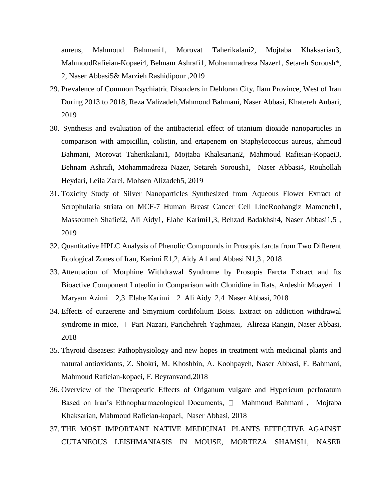[aureus,](https://www.researchgate.net/publication/330773934_The_synergistic_effect_of_hydroalcoholic_extracts_of_Origanum_vulgare_Hypericum_perforatum_and_their_active_components_carvacrol_and_hypericin_against_Staphylococcus_aureus?_sg=_hoz643rleEmJHkEmuatFic1G7JhMzahaiBlpIzg_MifB3ctqqD1Gjo4dAZn_JTOGi4B_j_isMvKYhV6I6p-1DbGXX15D3QvKFhUqbUd.e22JDd1Ii9nSDXekBAvGgHnW0J1pyLjT185N77Fvp-pspwgNTK4iQOdQiu1VWN2bsczlh1EoI7m8iHchAcrXMw) Mahmoud Bahmani1, Morovat Taherikalani2, Mojtaba Khaksarian3, MahmoudRafieian-Kopaei4, Behnam Ashrafi1, Mohammadreza Nazer1, Setareh Soroush\*, 2, Naser Abbasi5& Marzieh Rashidipour ,2019

- 29. [Prevalence of Common Psychiatric Disorders in Dehloran City, Ilam Province, West of Iran](https://www.researchgate.net/publication/337593312_Prevalence_of_Common_Psychiatric_Disorders_in_Dehloran_City_Ilam_Province_West_of_Iran_During_2013_to_2018?_sg=_hoz643rleEmJHkEmuatFic1G7JhMzahaiBlpIzg_MifB3ctqqD1Gjo4dAZn_JTOGi4B_j_isMvKYhV6I6p-1DbGXX15D3QvKFhUqbUd.e22JDd1Ii9nSDXekBAvGgHnW0J1pyLjT185N77Fvp-pspwgNTK4iQOdQiu1VWN2bsczlh1EoI7m8iHchAcrXMw)  [During 2013 to 2018,](https://www.researchgate.net/publication/337593312_Prevalence_of_Common_Psychiatric_Disorders_in_Dehloran_City_Ilam_Province_West_of_Iran_During_2013_to_2018?_sg=_hoz643rleEmJHkEmuatFic1G7JhMzahaiBlpIzg_MifB3ctqqD1Gjo4dAZn_JTOGi4B_j_isMvKYhV6I6p-1DbGXX15D3QvKFhUqbUd.e22JDd1Ii9nSDXekBAvGgHnW0J1pyLjT185N77Fvp-pspwgNTK4iQOdQiu1VWN2bsczlh1EoI7m8iHchAcrXMw) Reza Valizadeh,Mahmoud Bahmani, Naser Abbasi, Khatereh Anbari, 2019
- 30. [Synthesis and evaluation of the antibacterial effect of titanium dioxide nanoparticles in](https://www.researchgate.net/publication/335323940_Synthesis_and_evaluation_of_the_antibacterial_effect_of_titanium_dioxide_nanoparticles_in_comparison_with_ampicillin_colistin_and_ertapenem_on_Staphylococcus_aureus?_sg=_hoz643rleEmJHkEmuatFic1G7JhMzahaiBlpIzg_MifB3ctqqD1Gjo4dAZn_JTOGi4B_j_isMvKYhV6I6p-1DbGXX15D3QvKFhUqbUd.e22JDd1Ii9nSDXekBAvGgHnW0J1pyLjT185N77Fvp-pspwgNTK4iQOdQiu1VWN2bsczlh1EoI7m8iHchAcrXMw)  [comparison with ampicillin, colistin, and ertapenem on Staphylococcus aureus,](https://www.researchgate.net/publication/335323940_Synthesis_and_evaluation_of_the_antibacterial_effect_of_titanium_dioxide_nanoparticles_in_comparison_with_ampicillin_colistin_and_ertapenem_on_Staphylococcus_aureus?_sg=_hoz643rleEmJHkEmuatFic1G7JhMzahaiBlpIzg_MifB3ctqqD1Gjo4dAZn_JTOGi4B_j_isMvKYhV6I6p-1DbGXX15D3QvKFhUqbUd.e22JDd1Ii9nSDXekBAvGgHnW0J1pyLjT185N77Fvp-pspwgNTK4iQOdQiu1VWN2bsczlh1EoI7m8iHchAcrXMw) ahmoud Bahmani, Morovat Taherikalani1, Mojtaba Khaksarian2, Mahmoud Rafieian-Kopaei3, Behnam Ashrafi, Mohammadreza Nazer, Setareh Soroush1, Naser Abbasi4, Rouhollah Heydari, Leila Zarei, Mohsen Alizadeh5, 2019
- 31. Toxicity Study of Silver Nanoparticles Synthesized from Aqueous Flower Extract of Scrophularia striata on MCF-7 Human Breast Cancer Cell LineRoohangiz Mameneh1, Massoumeh Shafiei2, Ali Aidy1, Elahe Karimi1,3, Behzad Badakhsh4, Naser Abbasi1,5 , 2019
- 32. Quantitative HPLC Analysis of [Phenolic Compounds in Prosopis farcta from Two Different](https://www.researchgate.net/publication/329450957_Quantitative_HPLC_Analysis_of_Phenolic_Compounds_in_Prosopis_farcta_from_Two_Different_Ecological_Zones_of_Iran?_sg=_hoz643rleEmJHkEmuatFic1G7JhMzahaiBlpIzg_MifB3ctqqD1Gjo4dAZn_JTOGi4B_j_isMvKYhV6I6p-1DbGXX15D3QvKFhUqbUd.e22JDd1Ii9nSDXekBAvGgHnW0J1pyLjT185N77Fvp-pspwgNTK4iQOdQiu1VWN2bsczlh1EoI7m8iHchAcrXMw)  [Ecological Zones of Iran,](https://www.researchgate.net/publication/329450957_Quantitative_HPLC_Analysis_of_Phenolic_Compounds_in_Prosopis_farcta_from_Two_Different_Ecological_Zones_of_Iran?_sg=_hoz643rleEmJHkEmuatFic1G7JhMzahaiBlpIzg_MifB3ctqqD1Gjo4dAZn_JTOGi4B_j_isMvKYhV6I6p-1DbGXX15D3QvKFhUqbUd.e22JDd1Ii9nSDXekBAvGgHnW0J1pyLjT185N77Fvp-pspwgNTK4iQOdQiu1VWN2bsczlh1EoI7m8iHchAcrXMw) Karimi E1,2, Aidy A1 and Abbasi N1,3 , 2018
- 33. [Attenuation of Morphine Withdrawal Syndrome by Prosopis Farcta Extract and Its](https://www.researchgate.net/publication/328173936_Attenuation_of_Morphine_Withdrawal_Syndrome_by_Prosopis_Farcta_Extract_and_Its_Bioactive_Component_Luteolin_in_Comparison_with_Clonidine_in_Rats?_sg=2bjpyNhvHpvd3Oosu3yy035fdIf0OSS6ZGDSpKMs4CssGaEsE8oFpdXQGXZTtcAjOmp3ATzsUqlfFB1vYYWX9PzTvjUkOsi1Ffys0nBg._I7u_IZ69GINdIBitZ3d5u1NcWp2CLPoS3RYDwg7-UPzYTMpx0PElxC5K357l04mwbf-7-E2Bmh60roIK138Mg)  [Bioactive Component Luteolin in Comparison with Clonidine in Rats,](https://www.researchgate.net/publication/328173936_Attenuation_of_Morphine_Withdrawal_Syndrome_by_Prosopis_Farcta_Extract_and_Its_Bioactive_Component_Luteolin_in_Comparison_with_Clonidine_in_Rats?_sg=2bjpyNhvHpvd3Oosu3yy035fdIf0OSS6ZGDSpKMs4CssGaEsE8oFpdXQGXZTtcAjOmp3ATzsUqlfFB1vYYWX9PzTvjUkOsi1Ffys0nBg._I7u_IZ69GINdIBitZ3d5u1NcWp2CLPoS3RYDwg7-UPzYTMpx0PElxC5K357l04mwbf-7-E2Bmh60roIK138Mg) Ardeshir Moayeri 1 Maryam Azimi 2,3 Elahe Karimi 2 Ali Aidy 2,4 Naser Abbasi, 2018
- 34. [Effects of curzerene and Smyrnium cordifolium Boiss. Extract on addiction withdrawal](https://www.researchgate.net/publication/330363224_Effects_of_curzerene_and_Smyrnium_cordifolium_Boiss_Extract_on_addiction_withdrawal_syndrome_in_mice?_sg=2bjpyNhvHpvd3Oosu3yy035fdIf0OSS6ZGDSpKMs4CssGaEsE8oFpdXQGXZTtcAjOmp3ATzsUqlfFB1vYYWX9PzTvjUkOsi1Ffys0nBg._I7u_IZ69GINdIBitZ3d5u1NcWp2CLPoS3RYDwg7-UPzYTMpx0PElxC5K357l04mwbf-7-E2Bmh60roIK138Mg)  [syndrome in mice](https://www.researchgate.net/publication/330363224_Effects_of_curzerene_and_Smyrnium_cordifolium_Boiss_Extract_on_addiction_withdrawal_syndrome_in_mice?_sg=2bjpyNhvHpvd3Oosu3yy035fdIf0OSS6ZGDSpKMs4CssGaEsE8oFpdXQGXZTtcAjOmp3ATzsUqlfFB1vYYWX9PzTvjUkOsi1Ffys0nBg._I7u_IZ69GINdIBitZ3d5u1NcWp2CLPoS3RYDwg7-UPzYTMpx0PElxC5K357l04mwbf-7-E2Bmh60roIK138Mg),  $\Box$  [Pari Nazari,](https://www.researchgate.net/scientific-contributions/2152154214-Pari-Nazari) [Parichehreh Yaghmaei,](https://www.researchgate.net/scientific-contributions/2152156649_Parichehreh_Yaghmaei) [Alireza Rangin,](https://www.researchgate.net/scientific-contributions/2152159858-Alireza-Rangin) [Naser Abbasi,](https://www.researchgate.net/profile/Naser_Abbasi) 2018
- 35. [Thyroid diseases: Pathophysiology and new hopes in treatment with medicinal plants and](https://www.researchgate.net/publication/329129735_Thyroid_diseases_Pathophysiology_and_new_hopes_in_treatment_with_medicinal_plants_and_natural_antioxidants?_sg=2bjpyNhvHpvd3Oosu3yy035fdIf0OSS6ZGDSpKMs4CssGaEsE8oFpdXQGXZTtcAjOmp3ATzsUqlfFB1vYYWX9PzTvjUkOsi1Ffys0nBg._I7u_IZ69GINdIBitZ3d5u1NcWp2CLPoS3RYDwg7-UPzYTMpx0PElxC5K357l04mwbf-7-E2Bmh60roIK138Mg)  [natural antioxidants,](https://www.researchgate.net/publication/329129735_Thyroid_diseases_Pathophysiology_and_new_hopes_in_treatment_with_medicinal_plants_and_natural_antioxidants?_sg=2bjpyNhvHpvd3Oosu3yy035fdIf0OSS6ZGDSpKMs4CssGaEsE8oFpdXQGXZTtcAjOmp3ATzsUqlfFB1vYYWX9PzTvjUkOsi1Ffys0nBg._I7u_IZ69GINdIBitZ3d5u1NcWp2CLPoS3RYDwg7-UPzYTMpx0PElxC5K357l04mwbf-7-E2Bmh60roIK138Mg) Z. Shokri, M. Khoshbin, A. Koohpayeh, Naser Abbasi, F. Bahmani, Mahmoud Rafieian-kopaei, F. Beyranvand,2018
- 36. [Overview of the Therapeutic Effects of Origanum vulgare and Hypericum perforatum](https://www.researchgate.net/publication/326687631_Overview_of_the_Therapeutic_Effects_of_Origanum_vulgare_and_Hypericum_perforatum_Based_on_Iran)  [Based on Iran's Ethnopharmacological Documents,](https://www.researchgate.net/publication/326687631_Overview_of_the_Therapeutic_Effects_of_Origanum_vulgare_and_Hypericum_perforatum_Based_on_Iran)  $\Box$  [Mahmoud Bahmani](https://www.researchgate.net/profile/Mahmoud_Bahmani2), Mojtaba [Khaksarian,](https://www.researchgate.net/profile/Mojtaba_Khaksarian2) [Mahmoud Rafieian-kopaei,](https://www.researchgate.net/profile/Mahmoud_Rafieian-kopaei2) [Naser Abbasi,](https://www.researchgate.net/profile/Naser_Abbasi) 2018
- 37. [THE MOST IMPORTANT NATIVE MEDICINAL PLANTS EFFECTIVE AGAINST](https://www.researchgate.net/publication/320336373_THE_MOST_IMPORTANT_NATIVE_MEDICINAL_PLANTS_EFFECTIVE_AGAINST_CUTANEOUS_LEISHMANIASIS_IN_MOUSE?_sg=FD8JhbRaCpmo9Ojwc1Km198iiZlDgcBqUkqNjATuY7_anNmYqbX_tRdusZgEckLxX3RiqYEnbarw-TMdwEWRGPBJHclia1idvfn-AZuv.NPyYjjX_9lP_rMnFydtnC3QZCbTilGXi79CuEzZCHu167RqhF0-p2vKa7vpj1xjv_mq8KgOcyuA835GsEYJkpQ)  [CUTANEOUS LEISHMANIASIS IN MOUSE,](https://www.researchgate.net/publication/320336373_THE_MOST_IMPORTANT_NATIVE_MEDICINAL_PLANTS_EFFECTIVE_AGAINST_CUTANEOUS_LEISHMANIASIS_IN_MOUSE?_sg=FD8JhbRaCpmo9Ojwc1Km198iiZlDgcBqUkqNjATuY7_anNmYqbX_tRdusZgEckLxX3RiqYEnbarw-TMdwEWRGPBJHclia1idvfn-AZuv.NPyYjjX_9lP_rMnFydtnC3QZCbTilGXi79CuEzZCHu167RqhF0-p2vKa7vpj1xjv_mq8KgOcyuA835GsEYJkpQ) MORTEZA SHAMSI1, NASER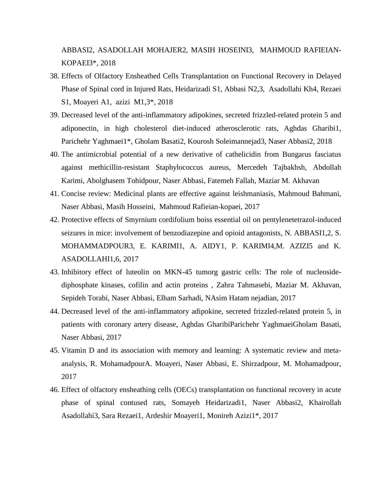ABBASI2, ASADOLLAH MOHAJER2, MASIH HOSEINI3, MAHMOUD RAFIEIAN-KOPAEI3\*, 2018

- 38. [Effects of Olfactory Ensheathed Cells Transplantation on Functional Recovery in Delayed](https://www.researchgate.net/publication/325893556_Effects_of_Olfactory_Ensheathed_Cells_Transplantation_on_Functional_Recovery_in_Delayed_Phase_of_Spinal_cord_in_Injured_Rats?_sg=FD8JhbRaCpmo9Ojwc1Km198iiZlDgcBqUkqNjATuY7_anNmYqbX_tRdusZgEckLxX3RiqYEnbarw-TMdwEWRGPBJHclia1idvfn-AZuv.NPyYjjX_9lP_rMnFydtnC3QZCbTilGXi79CuEzZCHu167RqhF0-p2vKa7vpj1xjv_mq8KgOcyuA835GsEYJkpQ)  [Phase of Spinal cord in Injured Rats,](https://www.researchgate.net/publication/325893556_Effects_of_Olfactory_Ensheathed_Cells_Transplantation_on_Functional_Recovery_in_Delayed_Phase_of_Spinal_cord_in_Injured_Rats?_sg=FD8JhbRaCpmo9Ojwc1Km198iiZlDgcBqUkqNjATuY7_anNmYqbX_tRdusZgEckLxX3RiqYEnbarw-TMdwEWRGPBJHclia1idvfn-AZuv.NPyYjjX_9lP_rMnFydtnC3QZCbTilGXi79CuEzZCHu167RqhF0-p2vKa7vpj1xjv_mq8KgOcyuA835GsEYJkpQ) Heidarizadi S1, Abbasi N2,3, Asadollahi Kh4, Rezaei S1, Moayeri A1, azizi M1,3\*, 2018
- 39. [Decreased level of the anti-inflammatory adipokines, secreted frizzled-related protein 5 and](https://www.researchgate.net/publication/325134506_Decreased_level_of_the_anti-inflammatory_adipokines_secreted_frizzled-related_protein_5_and_adiponectin_in_high_cholesterol_diet-induced_atherosclerotic_rats?_sg=5rPT3B-vFM6aa9XbaDwoBUImwQsIbkiD9WIx1ATcjrwbcL7y7KcoWKbhemKDHscngYzROth-mna5Kp9ddMoKLHES5nZgdQfk6W5cnQTP.zmV_tTJqguAqigAm3oyfGApcA0NxDU9MQbhW-WkkoXz2dma40T1rzSwtNJROc8iNBQjTePOL5cZFsXkYVxLBeA)  [adiponectin, in high cholesterol diet-induced atherosclerotic rats,](https://www.researchgate.net/publication/325134506_Decreased_level_of_the_anti-inflammatory_adipokines_secreted_frizzled-related_protein_5_and_adiponectin_in_high_cholesterol_diet-induced_atherosclerotic_rats?_sg=5rPT3B-vFM6aa9XbaDwoBUImwQsIbkiD9WIx1ATcjrwbcL7y7KcoWKbhemKDHscngYzROth-mna5Kp9ddMoKLHES5nZgdQfk6W5cnQTP.zmV_tTJqguAqigAm3oyfGApcA0NxDU9MQbhW-WkkoXz2dma40T1rzSwtNJROc8iNBQjTePOL5cZFsXkYVxLBeA) Aghdas Gharibi1, Parichehr Yaghmaei1\*, Gholam Basati2, Kourosh Soleimannejad3, Naser Abbasi2, 2018
- 40. [The antimicrobial potential of a new derivative of cathelicidin from Bungarus fasciatus](https://www.researchgate.net/publication/322868649_The_antimicrobial_potential_of_a_new_derivative_of_cathelicidin_from_Bungarus_fasciatus_against_methicillin-resistant_Staphylococcus_aureus?_sg=5rPT3B-vFM6aa9XbaDwoBUImwQsIbkiD9WIx1ATcjrwbcL7y7KcoWKbhemKDHscngYzROth-mna5Kp9ddMoKLHES5nZgdQfk6W5cnQTP.zmV_tTJqguAqigAm3oyfGApcA0NxDU9MQbhW-WkkoXz2dma40T1rzSwtNJROc8iNBQjTePOL5cZFsXkYVxLBeA)  [against methicillin-resistant Staphylococcus aureus,](https://www.researchgate.net/publication/322868649_The_antimicrobial_potential_of_a_new_derivative_of_cathelicidin_from_Bungarus_fasciatus_against_methicillin-resistant_Staphylococcus_aureus?_sg=5rPT3B-vFM6aa9XbaDwoBUImwQsIbkiD9WIx1ATcjrwbcL7y7KcoWKbhemKDHscngYzROth-mna5Kp9ddMoKLHES5nZgdQfk6W5cnQTP.zmV_tTJqguAqigAm3oyfGApcA0NxDU9MQbhW-WkkoXz2dma40T1rzSwtNJROc8iNBQjTePOL5cZFsXkYVxLBeA) [Mercedeh Tajbakhsh,](https://www.researchgate.net/profile/Mercedeh_Tajbakhsh) [Abdollah](https://www.researchgate.net/profile/Abdollah_Karimi3)  [Karimi,](https://www.researchgate.net/profile/Abdollah_Karimi3) [Abolghasem Tohidpour,](https://www.researchgate.net/scientific-contributions/2130303817_Abolghasem_Tohidpour) [Naser Abbasi,](https://www.researchgate.net/profile/Naser_Abbasi) [Fatemeh Fallah,](https://www.researchgate.net/profile/Fatemeh_Fallah3) [Maziar M. Akhavan](https://www.researchgate.net/profile/Maziar_M_Akhavan)
- 41. [Concise review: Medicinal plants are effective against leishmaniasis,](https://www.researchgate.net/publication/321370791_Concise_review_Medicinal_plants_are_effective_against_leishmaniasis?_sg=5rPT3B-vFM6aa9XbaDwoBUImwQsIbkiD9WIx1ATcjrwbcL7y7KcoWKbhemKDHscngYzROth-mna5Kp9ddMoKLHES5nZgdQfk6W5cnQTP.zmV_tTJqguAqigAm3oyfGApcA0NxDU9MQbhW-WkkoXz2dma40T1rzSwtNJROc8iNBQjTePOL5cZFsXkYVxLBeA) [Mahmoud Bahmani,](https://www.researchgate.net/profile/Mahmoud_Bahmani2) [Naser Abbasi,](https://www.researchgate.net/profile/Naser_Abbasi) [Masih Hosseini,](https://www.researchgate.net/profile/Masih_Hosseini) [Mahmoud Rafieian-kopaei,](https://www.researchgate.net/profile/Mahmoud_Rafieian-kopaei2) 2017
- 42. [Protective effects of Smyrnium cordifolium boiss essential oil on pentylenetetrazol-induced](https://www.researchgate.net/publication/320108354_Protective_effects_of_Smyrnium_cordifolium_boiss_essential_oil_on_pentylenetetrazol-induced_seizures_in_mice_involvement_of_benzodiazepine_and_opioid_antagonists?_sg=5rPT3B-vFM6aa9XbaDwoBUImwQsIbkiD9WIx1ATcjrwbcL7y7KcoWKbhemKDHscngYzROth-mna5Kp9ddMoKLHES5nZgdQfk6W5cnQTP.zmV_tTJqguAqigAm3oyfGApcA0NxDU9MQbhW-WkkoXz2dma40T1rzSwtNJROc8iNBQjTePOL5cZFsXkYVxLBeA)  [seizures in mice: involvement of benzodiazepine and opioid antagonists,](https://www.researchgate.net/publication/320108354_Protective_effects_of_Smyrnium_cordifolium_boiss_essential_oil_on_pentylenetetrazol-induced_seizures_in_mice_involvement_of_benzodiazepine_and_opioid_antagonists?_sg=5rPT3B-vFM6aa9XbaDwoBUImwQsIbkiD9WIx1ATcjrwbcL7y7KcoWKbhemKDHscngYzROth-mna5Kp9ddMoKLHES5nZgdQfk6W5cnQTP.zmV_tTJqguAqigAm3oyfGApcA0NxDU9MQbhW-WkkoXz2dma40T1rzSwtNJROc8iNBQjTePOL5cZFsXkYVxLBeA) N. ABBASI1,2, S. MOHAMMADPOUR3, E. KARIMI1, A. AIDY1, P. KARIMI4,M. AZIZI5 and K. ASADOLLAHI1,6, 2017
- 43. [Inhibitory effect of luteolin on MKN-45 tumorg gastric cells: The role of nucleoside](https://www.researchgate.net/publication/319463422_Inhibitory_effect_of_luteolin_on_MKN-45_tumorg_gastric_cells_The_role_of_nucleoside-diphosphate_kinases_cofilin_and_actin_proteins?_sg=5rPT3B-vFM6aa9XbaDwoBUImwQsIbkiD9WIx1ATcjrwbcL7y7KcoWKbhemKDHscngYzROth-mna5Kp9ddMoKLHES5nZgdQfk6W5cnQTP.zmV_tTJqguAqigAm3oyfGApcA0NxDU9MQbhW-WkkoXz2dma40T1rzSwtNJROc8iNBQjTePOL5cZFsXkYVxLBeA)[diphosphate kinases, cofilin and actin proteins](https://www.researchgate.net/publication/319463422_Inhibitory_effect_of_luteolin_on_MKN-45_tumorg_gastric_cells_The_role_of_nucleoside-diphosphate_kinases_cofilin_and_actin_proteins?_sg=5rPT3B-vFM6aa9XbaDwoBUImwQsIbkiD9WIx1ATcjrwbcL7y7KcoWKbhemKDHscngYzROth-mna5Kp9ddMoKLHES5nZgdQfk6W5cnQTP.zmV_tTJqguAqigAm3oyfGApcA0NxDU9MQbhW-WkkoXz2dma40T1rzSwtNJROc8iNBQjTePOL5cZFsXkYVxLBeA) , [Zahra Tahmasebi,](https://www.researchgate.net/scientific-contributions/2132428662-Zahra-Tahmasebi) [Maziar M. Akhavan,](https://www.researchgate.net/profile/Maziar_M_Akhavan) [Sepideh Torabi,](https://www.researchgate.net/scientific-contributions/2132431700-Sepideh-Torabi) [Naser Abbasi,](https://www.researchgate.net/profile/Naser_Abbasi) Elham Sarhadi, [NAsim Hatam nejadian,](https://www.researchgate.net/scientific-contributions/2132440595_NAsim_Hatam_nejadian) 2017
- 44. [Decreased level of the anti-inflammatory adipokine, secreted frizzled-related protein 5, in](https://www.researchgate.net/publication/322396576_Decreased_level_of_the_anti-inflammatory_adipokine_secreted_frizzled-related_protein_5_in_patients_with_coronary_artery_disease?_sg=5rPT3B-vFM6aa9XbaDwoBUImwQsIbkiD9WIx1ATcjrwbcL7y7KcoWKbhemKDHscngYzROth-mna5Kp9ddMoKLHES5nZgdQfk6W5cnQTP.zmV_tTJqguAqigAm3oyfGApcA0NxDU9MQbhW-WkkoXz2dma40T1rzSwtNJROc8iNBQjTePOL5cZFsXkYVxLBeA)  [patients with coronary artery disease,](https://www.researchgate.net/publication/322396576_Decreased_level_of_the_anti-inflammatory_adipokine_secreted_frizzled-related_protein_5_in_patients_with_coronary_artery_disease?_sg=5rPT3B-vFM6aa9XbaDwoBUImwQsIbkiD9WIx1ATcjrwbcL7y7KcoWKbhemKDHscngYzROth-mna5Kp9ddMoKLHES5nZgdQfk6W5cnQTP.zmV_tTJqguAqigAm3oyfGApcA0NxDU9MQbhW-WkkoXz2dma40T1rzSwtNJROc8iNBQjTePOL5cZFsXkYVxLBeA) Aghdas GharibiParichehr YaghmaeiGholam Basati, Naser Abbasi, 2017
- 45. [Vitamin D and its association with memory and learning: A systematic review and meta](https://www.researchgate.net/publication/320467149_Vitamin_D_and_its_association_with_memory_and_learning_A_systematic_review_and_meta-analysis?_sg=5rPT3B-vFM6aa9XbaDwoBUImwQsIbkiD9WIx1ATcjrwbcL7y7KcoWKbhemKDHscngYzROth-mna5Kp9ddMoKLHES5nZgdQfk6W5cnQTP.zmV_tTJqguAqigAm3oyfGApcA0NxDU9MQbhW-WkkoXz2dma40T1rzSwtNJROc8iNBQjTePOL5cZFsXkYVxLBeA)[analysis,](https://www.researchgate.net/publication/320467149_Vitamin_D_and_its_association_with_memory_and_learning_A_systematic_review_and_meta-analysis?_sg=5rPT3B-vFM6aa9XbaDwoBUImwQsIbkiD9WIx1ATcjrwbcL7y7KcoWKbhemKDHscngYzROth-mna5Kp9ddMoKLHES5nZgdQfk6W5cnQTP.zmV_tTJqguAqigAm3oyfGApcA0NxDU9MQbhW-WkkoXz2dma40T1rzSwtNJROc8iNBQjTePOL5cZFsXkYVxLBeA) R. MohamadpourA. Moayeri, Naser Abbasi, E. Shirzadpour, M. Mohamadpour, 2017
- 46. [Effect of olfactory ensheathing cells \(OECs\) transplantation on functional recovery in acute](https://www.researchgate.net/publication/312005357_Effect_of_olfactory_ensheathing_cells_OECs_transplantation_on_functional_recovery_in_acute_phase_of_spinal_contused_rats?_sg=5rPT3B-vFM6aa9XbaDwoBUImwQsIbkiD9WIx1ATcjrwbcL7y7KcoWKbhemKDHscngYzROth-mna5Kp9ddMoKLHES5nZgdQfk6W5cnQTP.zmV_tTJqguAqigAm3oyfGApcA0NxDU9MQbhW-WkkoXz2dma40T1rzSwtNJROc8iNBQjTePOL5cZFsXkYVxLBeA)  [phase of spinal contused rats,](https://www.researchgate.net/publication/312005357_Effect_of_olfactory_ensheathing_cells_OECs_transplantation_on_functional_recovery_in_acute_phase_of_spinal_contused_rats?_sg=5rPT3B-vFM6aa9XbaDwoBUImwQsIbkiD9WIx1ATcjrwbcL7y7KcoWKbhemKDHscngYzROth-mna5Kp9ddMoKLHES5nZgdQfk6W5cnQTP.zmV_tTJqguAqigAm3oyfGApcA0NxDU9MQbhW-WkkoXz2dma40T1rzSwtNJROc8iNBQjTePOL5cZFsXkYVxLBeA) Somayeh Heidarizadi1, Naser Abbasi2, Khairollah Asadollahi3, Sara Rezaei1, Ardeshir Moayeri1, Monireh Azizi1\*, 2017